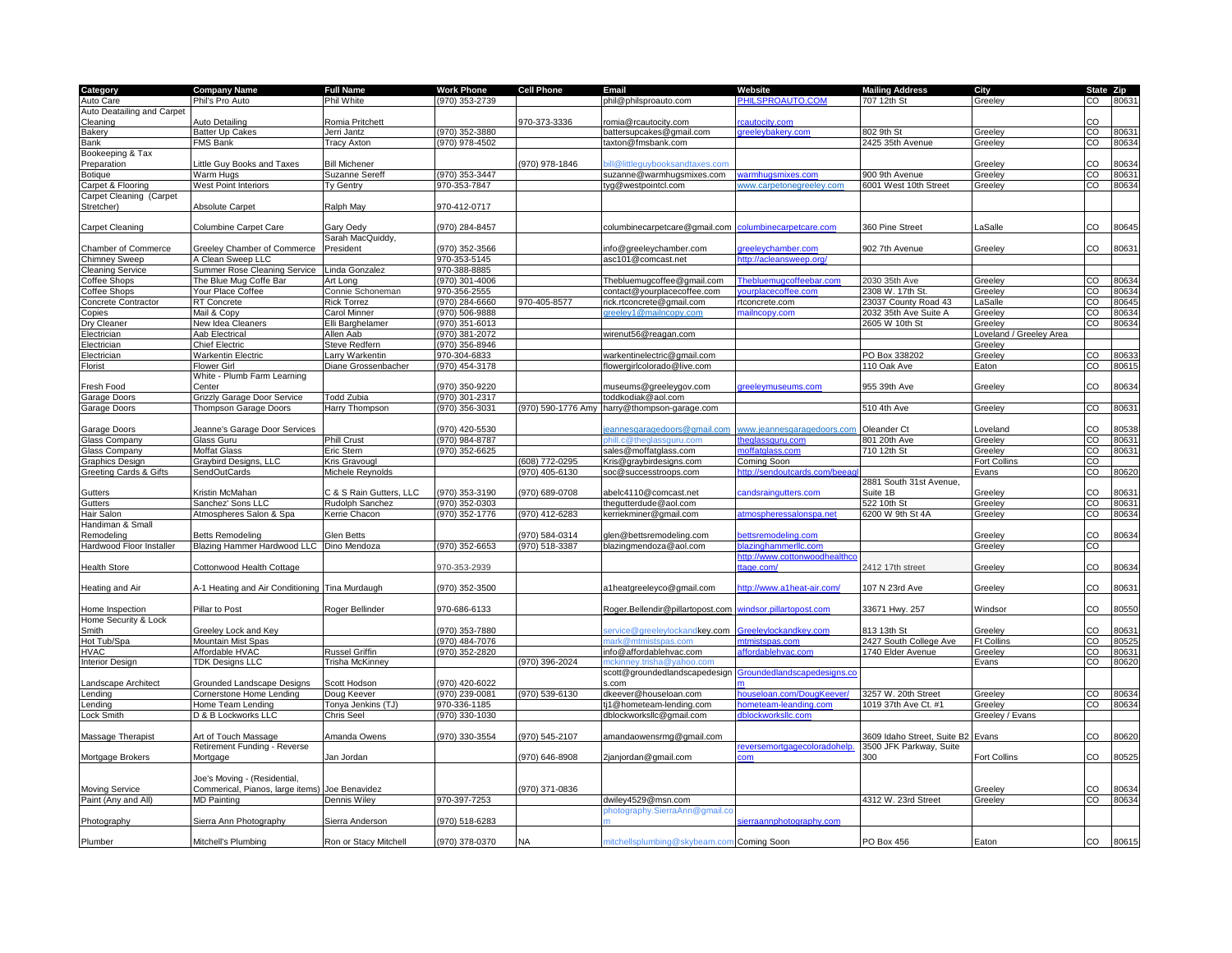| Category                   | <b>Company Name</b>                 | <b>Full Name</b>      | <b>Work Phone</b> | <b>Cell Phone</b>  | Email                                     | Website                       | <b>Mailing Address</b>      | City                   | State Zip      |       |
|----------------------------|-------------------------------------|-----------------------|-------------------|--------------------|-------------------------------------------|-------------------------------|-----------------------------|------------------------|----------------|-------|
| Auto Care                  | Phil's Pro Auto                     | Phil White            | 970) 353-2739     |                    | phil@philsproauto.com                     | PHILSPROAUTO.COM              | 707 12th St                 | Greeley                | CO             | 8063  |
| Auto Deatailing and Carpet |                                     |                       |                   |                    |                                           |                               |                             |                        |                |       |
|                            |                                     | Romia Pritchett       |                   | 970-373-3336       |                                           | cautocity.com                 |                             |                        | CO             |       |
| Cleaning                   | Auto Detailing                      |                       |                   |                    | romia@rcautocity.com                      |                               |                             |                        |                |       |
| <b>Bakery</b>              | <b>Batter Up Cakes</b>              | Jerri Jantz           | (970) 352-3880    |                    | battersupcakes@gmail.com                  | greeleybakery.com             | 802 9th St                  | Greeley                | CO             | 80631 |
| Bank                       | <b>FMS Bank</b>                     | <b>Tracy Axton</b>    | (970) 978-4502    |                    | taxton@fmsbank.com                        |                               | 2425 35th Avenue            | Greeley                | $\overline{c}$ | 80634 |
| Bookeeping & Tax           |                                     |                       |                   |                    |                                           |                               |                             |                        |                |       |
| Preparation                | Little Guy Books and Taxes          | <b>Bill Michener</b>  |                   | 970) 978-1846      | ill@littleguvbooksandtaxes.com            |                               |                             | Greeley                | CO             | 80634 |
| Botique                    | Warm Hugs                           | Suzanne Sereff        | 970) 353-3447     |                    | suzanne@warmhugsmixes.com                 | armhugsmixes.com              | 900 9th Avenue              | <b>Greeley</b>         | CO             | 80631 |
| Carpet & Flooring          | <b>West Point Interiors</b>         | Ty Gentry             | 970-353-7847      |                    | tyg@westpointcl.com                       | vww.carpetonegreeley.com      | 6001 West 10th Street       | <b>Greeley</b>         | $\overline{c}$ | 80634 |
| Carpet Cleaning (Carpet    |                                     |                       |                   |                    |                                           |                               |                             |                        |                |       |
|                            |                                     | Ralph May             | 970-412-0717      |                    |                                           |                               |                             |                        |                |       |
| Stretcher)                 | Absolute Carpet                     |                       |                   |                    |                                           |                               |                             |                        |                |       |
|                            |                                     |                       |                   |                    |                                           |                               |                             |                        |                |       |
| Carpet Cleaning            | <b>Columbine Carpet Care</b>        | <b>Gary Oedy</b>      | 970) 284-8457     |                    | columbinecarpetcare@gmail.com             | columbinecarpetcare.com       | 360 Pine Street             | aSalle                 | CO             | 80645 |
|                            |                                     | Sarah MacQuiddy,      |                   |                    |                                           |                               |                             |                        |                |       |
| Chamber of Commerce        | <b>Greeley Chamber of Commerce</b>  | President             | 970) 352-3566     |                    | info@greeleychamber.com                   | greeleychamber.com            | 902 7th Avenue              | Greeley                | CO             | 80631 |
| <b>Chimney Sweep</b>       | A Clean Sweep LLC                   |                       | 970-353-5145      |                    | asc101@comcast.net                        | http://acleansweep.org/       |                             |                        |                |       |
| <b>Cleaning Service</b>    | <b>Summer Rose Cleaning Service</b> | inda Gonzalez         | 370-388-8885      |                    |                                           |                               |                             |                        |                |       |
| Coffee Shops               | The Blue Mug Coffe Bar              | Art Long              | 970) 301-4006     |                    | Thebluemugcoffee@gmail.com                | Thebluemugcoffeebar.com       | 2030 35th Ave               | Greeley                | $\overline{c}$ | 80634 |
| Coffee Shops               | Your Place Coffee                   | Connie Schoneman      | 970-356-2555      |                    | contact@yourplacecoffee.com               |                               | 2308 W. 17th St             | Greeley                | $\overline{c}$ | 80634 |
|                            |                                     |                       |                   | 970-405-8577       |                                           |                               |                             |                        | CO             |       |
| Concrete Contractor        | <b>RT</b> Concrete                  | Rick Torrez           | (970) 284-6660    |                    | ick.rtconcrete@gmail.com                  | rtconcrete.com                | 23037 County Road 43        | LaSalle                |                | 80645 |
| Copies                     | Mail & Copy                         | Carol Minner          | (970) 506-9888    |                    | reeley1@mailncopy.com                     | nailncopy.com                 | 2032 35th Ave Suite A       | Greeley                | CO             | 80634 |
| Dry Cleaner                | New Idea Cleaners                   | Elli Barghelamer      | (970) 351-6013    |                    |                                           |                               | 2605 W 10th St              | Greeley                | $\overline{c}$ | 80634 |
| Electrician                | Aab Electrical                      | Allen Aab             | 970) 381-2072     |                    | wirenut56@reagan.com                      |                               |                             | oveland / Greeley Area |                |       |
| Electrician                | <b>Chief Electric</b>               | Steve Redfern         | (970) 356-8946    |                    |                                           |                               |                             | Greeley                |                |       |
| Electrician                | <b>Warkentin Electric</b>           | arry Warkentin        | 970-304-6833      |                    | warkentinelectric@gmail.com               |                               | PO Box 338202               | Greeley                | CO             | 80633 |
| Florist                    | <b>Flower Girl</b>                  | Diane Grossenbacher   | (970) 454-3178    |                    | flowergirlcolorado@live.com               |                               | 110 Oak Ave                 | Eaton                  | CO             | 80615 |
|                            |                                     |                       |                   |                    |                                           |                               |                             |                        |                |       |
|                            | White - Plumb Farm Learning         |                       |                   |                    |                                           |                               |                             |                        |                |       |
| Fresh Food                 | Center                              |                       | 970) 350-9220     |                    | museums@greeleygov.com                    | reeleymuseums.com             | 955 39th Ave                | Greeley                | CO             | 80634 |
| Garage Doors               | <b>Grizzly Garage Door Service</b>  | <b>Todd Zubia</b>     | 970) 301-2317     |                    | toddkodiak@aol.com                        |                               |                             |                        |                |       |
| Garage Doors               | Thompson Garage Doors               | <b>Harry Thompson</b> | 970) 356-3031     | (970) 590-1776 Amy | harry@thompson-garage.com                 |                               | 510 4th Ave                 | Greeley                | $\overline{c}$ | 80631 |
|                            |                                     |                       |                   |                    |                                           |                               |                             |                        |                |       |
| Garage Doors               | Jeanne's Garage Door Services       |                       | 970) 420-5530     |                    | eannesgaragedoors@gmail.com               | ww.jeannesgaragedoors.com     | Oleander Ct                 | Loveland               | CO             | 80538 |
| Glass Company              | Glass Guru                          | <b>Phill Crust</b>    | (970) 984-8787    |                    |                                           | eglassquru.com                | 801 20th Ave                | Greeley                | $\overline{c}$ | 80631 |
|                            |                                     |                       |                   |                    |                                           |                               |                             |                        |                |       |
| Glass Company              | <b>Moffat Glass</b>                 | Eric Stern            | 970) 352-6625     |                    | sales@moffatglass.com                     | offatolass.com                | 710 12th St                 | Greeley                | CO             | 80631 |
| <b>Graphics Design</b>     | Graybird Designs, LLC               | <b>fris Gravougl</b>  |                   | 608) 772-0295      | Kris@graybirdesigns.com                   | Coming Soon                   |                             | Fort Collins           | CO             |       |
| Greeting Cards & Gifts     | <b>SendOutCards</b>                 | Michele Reynolds      |                   | 970) 405-6130      | soc@successtroops.com                     | ttp://sendoutcards.com/bee    |                             | Evans                  | CO             | 80620 |
|                            |                                     |                       |                   |                    |                                           |                               |                             |                        |                |       |
|                            |                                     |                       |                   |                    |                                           |                               | 2881 South 31st Avenue.     |                        |                |       |
|                            | Kristin McMahan                     |                       | 970) 353-3190     | (970) 689-0708     | abelc4110@comcast.net                     |                               |                             |                        | CO             |       |
| Gutters                    |                                     | 8 S Rain Gutters, LLC |                   |                    |                                           | andsraingutters.com           | Suite 1B                    | Greeley                |                | 80631 |
| Gutters                    | Sanchez' Sons LLC                   | Rudolph Sanchez       | (970) 352-0303    |                    | thegutterdude@aol.com                     |                               | 522 10th St                 | Greeley                | CO             | 80631 |
| Hair Salon                 | Atmospheres Salon & Spa             | <b>Kerrie Chacon</b>  | (970) 352-1776    | (970) 412-6283     | kerriekminer@gmail.com                    | atmospheressalonspa.net       | 6200 W 9th St 4A            | Greeley                | CO             | 80634 |
| Handiman & Small           |                                     |                       |                   |                    |                                           |                               |                             |                        |                |       |
| Remodeling                 | <b>Betts Remodeling</b>             | <b>Glen Betts</b>     |                   | 970) 584-0314      | glen@bettsremodeling.com                  | bettsremodeling.com           |                             | Greeley                | CO             | 80634 |
| Hardwood Floor Installer   | Blazing Hammer Hardwood LLC         | Dino Mendoza          | 970) 352-6653     | (970) 518-3387     | blazingmendoza@aol.com                    | blazinghammerllc.com          |                             | Greeley                | $\overline{c}$ |       |
|                            |                                     |                       |                   |                    |                                           | http://www.cottonwoodhealthco |                             |                        |                |       |
| <b>Health Store</b>        | Cottonwood Health Cottage           |                       | 970-353-2939      |                    |                                           | age.com/                      | 2412 17th street            | Greeley                | CO             | 80634 |
|                            |                                     |                       |                   |                    |                                           |                               |                             |                        |                |       |
|                            |                                     |                       |                   |                    |                                           |                               |                             |                        |                |       |
| Heating and Air            | A-1 Heating and Air Conditioning    | Tina Murdaugh         | 970) 352-3500     |                    | a1heatgreeleyco@gmail.com                 | ttp://www.a1heat-air.com/     | 107 N 23rd Ave              | Greeley                | $_{\rm CO}$    | 80631 |
|                            |                                     |                       |                   |                    |                                           |                               |                             |                        |                |       |
| Home Inspection            | Pillar to Post                      | Roger Bellinder       | 970-686-6133      |                    | Roger.Bellendir@pillartopost.com          | vindsor.pillartopost.com      | 33671 Hwy. 257              | Windsor                | CO             | 80550 |
| Home Security & Lock       |                                     |                       |                   |                    |                                           |                               |                             |                        |                |       |
| Smith                      | Greeley Lock and Key                |                       | 970) 353-7880     |                    | ervice@greeleylockandkey.com              | Sreeleylockandkey.com         | 813 13th St                 | Greeley                | CO             | 80631 |
| Hot Tub/Spa                | Mountain Mist Spas                  |                       | 970) 484-7076     |                    | ark@mtmistspas.com                        | ntmistspas.com                | 2427 South College Ave      | <b>Ft Collins</b>      | $\overline{c}$ | 80525 |
| <b>HVAC</b>                | Affordable HVAC                     | <b>Russel Griffin</b> | 970) 352-2820     |                    | info@affordablehvac.com                   | ffordablehvac.com             | 1740 Elder Avenue           | Greeley                | $\overline{c}$ | 80631 |
| <b>Interior Design</b>     | <b>TDK Designs LLC</b>              | Trisha McKinney       |                   | (970) 396-2024     | nckinney.trisha@yahoo.com                 |                               |                             | Evans                  | CO             | 80620 |
|                            |                                     |                       |                   |                    | scott@groundedlandscapedesign             | Groundedlandscapedesigns.co   |                             |                        |                |       |
|                            |                                     |                       |                   |                    |                                           |                               |                             |                        |                |       |
| Landscape Architect        | <b>Grounded Landscape Designs</b>   | Scott Hodson          | 970) 420-6022     |                    | s.com                                     |                               |                             |                        |                |       |
| Lending                    | Cornerstone Home Lending            | Doug Keever           | (970) 239-0081    | (970) 539-6130     | dkeever@houseloan.com                     | houseloan.com/DougKeever/     | 3257 W. 20th Street         | Greelev                | CO             | 80634 |
| Lending                    | Home Team Lending                   | Tonya Jenkins (TJ)    | 970-336-1185      |                    | tj1@hometeam-lending.com                  | hometeam-leanding com         | 1019 37th Ave Ct. #1        | Greelev                | CO             | 80634 |
| Lock Smith                 | D & B Lockworks LLC                 | Chris Seel            | 970) 330-1030     |                    | dblockworksllc@gmail.com                  | <b>Iblockworkslic.com</b>     |                             | Greeley / Evans        |                |       |
|                            |                                     |                       |                   |                    |                                           |                               |                             |                        |                |       |
| Massage Therapist          | Art of Touch Massage                | Amanda Owens          | (970) 330-3554    | 970) 545-2107      | amandaowensrmg@gmail.com                  |                               | 3609 Idaho Street, Suite B2 | Evans                  | CO             | 80620 |
|                            |                                     |                       |                   |                    |                                           | reversemortgagecoloradohelp   | 3500 JFK Parkway, Suite     |                        |                |       |
|                            | Retirement Funding - Reverse        |                       |                   |                    |                                           |                               |                             |                        |                |       |
| Mortgage Brokers           | Mortgage                            | Jan Jordan            |                   | 970) 646-8908      | 2janjordan@gmail.com                      | om                            | 300                         | Fort Collins           | CO             | 80525 |
|                            |                                     |                       |                   |                    |                                           |                               |                             |                        |                |       |
|                            | Joe's Moving - (Residential,        |                       |                   |                    |                                           |                               |                             |                        |                |       |
| <b>Moving Service</b>      | Commerical, Pianos, large items)    | Joe Benavidez         |                   | (970) 371-0836     |                                           |                               |                             | Greeley                | CO             | 80634 |
| Paint (Any and All)        | <b>MD Painting</b>                  | Dennis Wiley          | 970-397-7253      |                    | dwiley4529@msn.com                        |                               | 4312 W. 23rd Street         | Greeley                | $\overline{c}$ | 80634 |
|                            |                                     |                       |                   |                    | hotography.SierraAnn@gmail.co             |                               |                             |                        |                |       |
| Photography                | Sierra Ann Photography              | Sierra Anderson       | 970) 518-6283     |                    |                                           | ierraannphotography.com       |                             |                        |                |       |
|                            |                                     |                       |                   |                    |                                           |                               |                             |                        |                |       |
| Plumber                    | Mitchell's Plumbing                 | Ron or Stacy Mitchell | (970) 378-0370    | ΝA                 | nitchellsplumbing@skybeam.com Coming Soon |                               | PO Box 456                  | Eaton                  | CO             | 80615 |